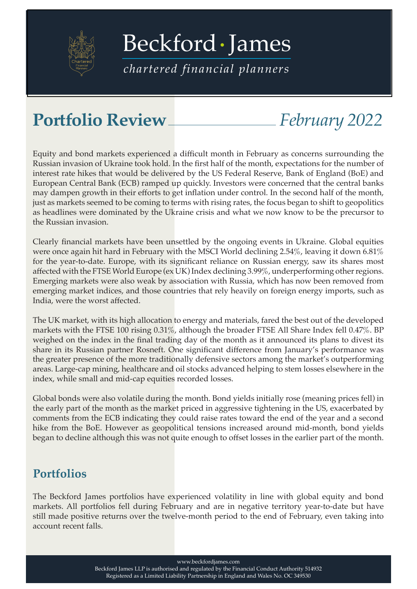

[Beckford James](https://beckfordjames.com/client-information/portfolio-reviews/)

*chartered financial planners*

## **Portfolio Review** *February 2022*

Equity and bond markets experienced a difficult month in February as concerns surrounding the Russian invasion of Ukraine took hold. In the first half of the month, expectations for the number of interest rate hikes that would be delivered by the US Federal Reserve, Bank of England (BoE) and European Central Bank (ECB) ramped up quickly. Investors were concerned that the central banks may dampen growth in their efforts to get inflation under control. In the second half of the month, just as markets seemed to be coming to terms with rising rates, the focus began to shift to geopolitics as headlines were dominated by the Ukraine crisis and what we now know to be the precursor to the Russian invasion.

Clearly financial markets have been unsettled by the ongoing events in Ukraine. Global equities were once again hit hard in February with the MSCI World declining 2.54%, leaving it down 6.81% for the year-to-date. Europe, with its significant reliance on Russian energy, saw its shares most affected with the FTSE World Europe (ex UK) Index declining 3.99%, underperforming other regions. Emerging markets were also weak by association with Russia, which has now been removed from emerging market indices, and those countries that rely heavily on foreign energy imports, such as India, were the worst affected.

The UK market, with its high allocation to energy and materials, fared the best out of the developed markets with the FTSE 100 rising 0.31%, although the broader FTSE All Share Index fell 0.47%. BP weighed on the index in the final trading day of the month as it announced its plans to divest its share in its Russian partner Rosneft. One significant difference from January's performance was the greater presence of the more traditionally defensive sectors among the market's outperforming areas. Large-cap mining, healthcare and oil stocks advanced helping to stem losses elsewhere in the index, while small and mid-cap equities recorded losses.

Global bonds were also volatile during the month. Bond yields initially rose (meaning prices fell) in the early part of the month as the market priced in aggressive tightening in the US, exacerbated by comments from the ECB indicating they could raise rates toward the end of the year and a second hike from the BoE. However as geopolitical tensions increased around mid-month, bond yields began to decline although this was not quite enough to offset losses in the earlier part of the month.

## **Portfolios**

The Beckford James portfolios have experienced volatility in line with global equity and bond markets. All portfolios fell during February and are in negative territory year-to-date but have still made positive returns over the twelve-month period to the end of February, even taking into account recent falls.

www.beckfordjames.com